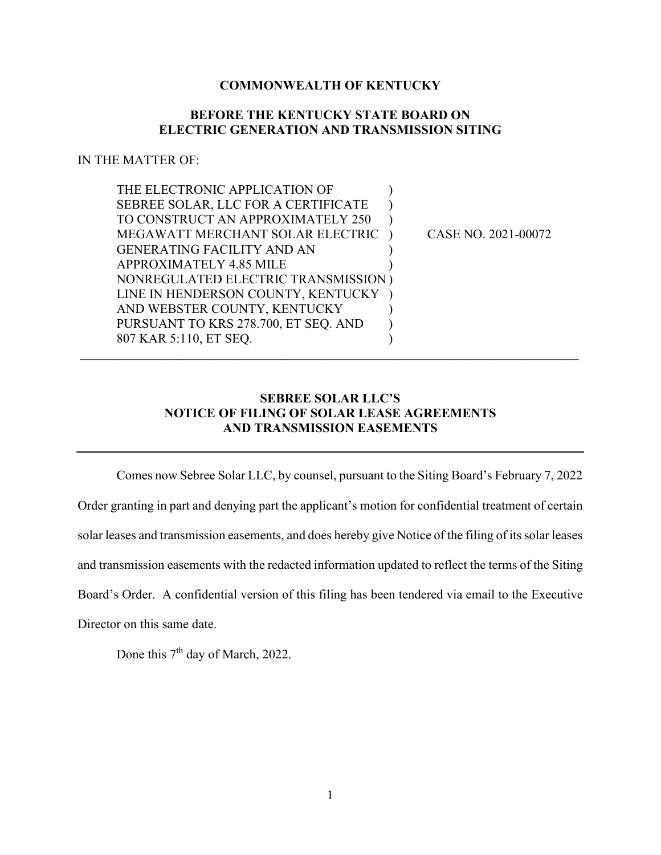## **COMMONWEALTH OF KENTUCKY**

## **BEFORE THE KENTUCKY STATE BOARD ON ELECTRIC GENERATION AND TRANSMISSION SITING**

## IN THE MATTER OF:

| THE ELECTRONIC APPLICATION OF        |                     |
|--------------------------------------|---------------------|
| SEBREE SOLAR, LLC FOR A CERTIFICATE  |                     |
| TO CONSTRUCT AN APPROXIMATELY 250    |                     |
| MEGAWATT MERCHANT SOLAR ELECTRIC     | CASE NO. 2021-00072 |
| <b>GENERATING FACILITY AND AN</b>    |                     |
| <b>APPROXIMATELY 4.85 MILE</b>       |                     |
| NONREGULATED ELECTRIC TRANSMISSION)  |                     |
| LINE IN HENDERSON COUNTY, KENTUCKY   |                     |
| AND WEBSTER COUNTY, KENTUCKY         |                     |
| PURSUANT TO KRS 278.700, ET SEQ. AND |                     |
| 807 KAR 5:110, ET SEO.               |                     |
|                                      |                     |

## **SEBREE SOLAR LLC'S NOTICE OF FILING OF SOLAR LEASE AGREEMENTS AND TRANSMISSION EASEMENTS**

Comes now Sebree Solar LLC, by counsel, pursuant to the Siting Board's February 7, 2022 Order granting in part and denying part the applicant's motion for confidential treatment of certain solar leases and transmission easements, and does hereby give Notice of the filing of its solar leases and transmission easements with the redacted information updated to reflect the terms of the Siting Board's Order. A confidential version of this filing has been tendered via email to the Executive Director on this same date.

Done this  $7<sup>th</sup>$  day of March, 2022.